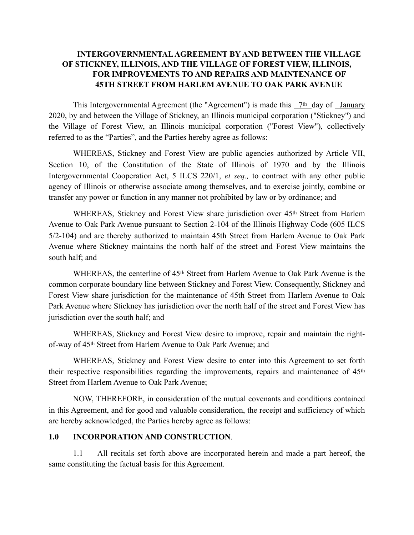## **INTERGOVERNMENTAL AGREEMENT BY AND BETWEEN THE VILLAGE OF STICKNEY, ILLINOIS, AND THE VILLAGE OF FOREST VIEW, ILLINOIS, FOR IMPROVEMENTS TO AND REPAIRS AND MAINTENANCE OF 45TH STREET FROM HARLEM AVENUE TO OAK PARK AVENUE**

This Intergovernmental Agreement (the "Agreement") is made this 7<sup>th</sup> day of January 2020, by and between the Village of Stickney, an Illinois municipal corporation ("Stickney") and the Village of Forest View, an Illinois municipal corporation ("Forest View"), collectively referred to as the "Parties", and the Parties hereby agree as follows:

WHEREAS, Stickney and Forest View are public agencies authorized by Article VII, Section 10, of the Constitution of the State of Illinois of 1970 and by the Illinois Intergovernmental Cooperation Act, 5 ILCS 220/1, *et seq.,* to contract with any other public agency of Illinois or otherwise associate among themselves, and to exercise jointly, combine or transfer any power or function in any manner not prohibited by law or by ordinance; and

WHEREAS, Stickney and Forest View share jurisdiction over 45<sup>th</sup> Street from Harlem Avenue to Oak Park Avenue pursuant to Section 2-104 of the Illinois Highway Code (605 ILCS 5/2-104) and are thereby authorized to maintain 45th Street from Harlem Avenue to Oak Park Avenue where Stickney maintains the north half of the street and Forest View maintains the south half; and

WHEREAS, the centerline of 45<sup>th</sup> Street from Harlem Avenue to Oak Park Avenue is the common corporate boundary line between Stickney and Forest View. Consequently, Stickney and Forest View share jurisdiction for the maintenance of 45th Street from Harlem Avenue to Oak Park Avenue where Stickney has jurisdiction over the north half of the street and Forest View has jurisdiction over the south half; and

WHEREAS, Stickney and Forest View desire to improve, repair and maintain the rightof-way of 45th Street from Harlem Avenue to Oak Park Avenue; and

WHEREAS, Stickney and Forest View desire to enter into this Agreement to set forth their respective responsibilities regarding the improvements, repairs and maintenance of 45th Street from Harlem Avenue to Oak Park Avenue;

NOW, THEREFORE, in consideration of the mutual covenants and conditions contained in this Agreement, and for good and valuable consideration, the receipt and sufficiency of which are hereby acknowledged, the Parties hereby agree as follows:

#### **1.0 INCORPORATION AND CONSTRUCTION**.

1.1 All recitals set forth above are incorporated herein and made a part hereof, the same constituting the factual basis for this Agreement.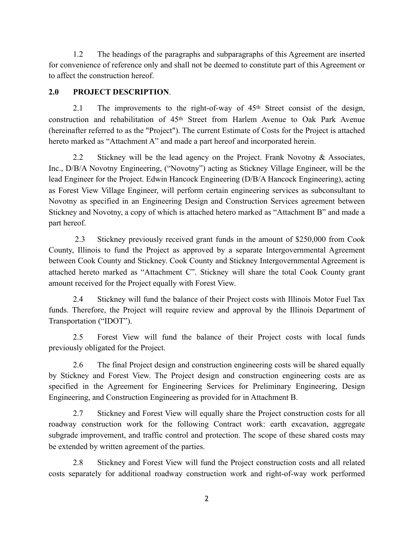1.2 The headings of the paragraphs and subparagraphs of this Agreement are inserted for convenience of reference only and shall not be deemed to constitute part of this Agreement or to affect the construction hereof.

# **2.0 PROJECT DESCRIPTION**.

2.1 The improvements to the right-of-way of  $45<sup>th</sup>$  Street consist of the design, construction and rehabilitation of 45th Street from Harlem Avenue to Oak Park Avenue (hereinafter referred to as the "Project"). The current Estimate of Costs for the Project is attached hereto marked as "Attachment A" and made a part hereof and incorporated herein.

2.2 Stickney will be the lead agency on the Project. Frank Novotny & Associates, Inc., D/B/A Novotny Engineering, ("Novotny") acting as Stickney Village Engineer, will be the lead Engineer for the Project. Edwin Hancock Engineering (D/B/A Hancock Engineering), acting as Forest View Village Engineer, will perform certain engineering services as subconsultant to Novotny as specified in an Engineering Design and Construction Services agreement between Stickney and Novotny, a copy of which is attached hetero marked as "Attachment B" and made a part hereof.

 2.3 Stickney previously received grant funds in the amount of \$250,000 from Cook County, Illinois to fund the Project as approved by a separate Intergovernmental Agreement between Cook County and Stickney. Cook County and Stickney Intergovernmental Agreement is attached hereto marked as "Attachment C". Stickney will share the total Cook County grant amount received for the Project equally with Forest View.

2.4 Stickney will fund the balance of their Project costs with Illinois Motor Fuel Tax funds. Therefore, the Project will require review and approval by the Illinois Department of Transportation ("IDOT").

2.5 Forest View will fund the balance of their Project costs with local funds previously obligated for the Project.

2.6 The final Project design and construction engineering costs will be shared equally by Stickney and Forest View. The Project design and construction engineering costs are as specified in the Agreement for Engineering Services for Preliminary Engineering, Design Engineering, and Construction Engineering as provided for in Attachment B.

2.7 Stickney and Forest View will equally share the Project construction costs for all roadway construction work for the following Contract work: earth excavation, aggregate subgrade improvement, and traffic control and protection. The scope of these shared costs may be extended by written agreement of the parties.

2.8 Stickney and Forest View will fund the Project construction costs and all related costs separately for additional roadway construction work and right-of-way work performed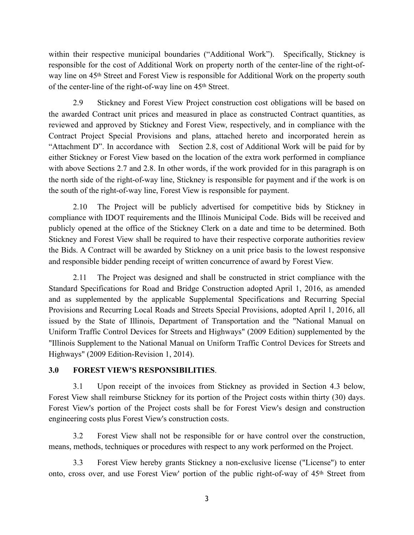within their respective municipal boundaries ("Additional Work"). Specifically, Stickney is responsible for the cost of Additional Work on property north of the center-line of the right-ofway line on 45th Street and Forest View is responsible for Additional Work on the property south of the center-line of the right-of-way line on 45th Street.

2.9 Stickney and Forest View Project construction cost obligations will be based on the awarded Contract unit prices and measured in place as constructed Contract quantities, as reviewed and approved by Stickney and Forest View, respectively, and in compliance with the Contract Project Special Provisions and plans, attached hereto and incorporated herein as "Attachment D". In accordance with Section 2.8, cost of Additional Work will be paid for by either Stickney or Forest View based on the location of the extra work performed in compliance with above Sections 2.7 and 2.8. In other words, if the work provided for in this paragraph is on the north side of the right-of-way line, Stickney is responsible for payment and if the work is on the south of the right-of-way line, Forest View is responsible for payment.

2.10 The Project will be publicly advertised for competitive bids by Stickney in compliance with IDOT requirements and the Illinois Municipal Code. Bids will be received and publicly opened at the office of the Stickney Clerk on a date and time to be determined. Both Stickney and Forest View shall be required to have their respective corporate authorities review the Bids. A Contract will be awarded by Stickney on a unit price basis to the lowest responsive and responsible bidder pending receipt of written concurrence of award by Forest View.

2.11 The Project was designed and shall be constructed in strict compliance with the Standard Specifications for Road and Bridge Construction adopted April 1, 2016, as amended and as supplemented by the applicable Supplemental Specifications and Recurring Special Provisions and Recurring Local Roads and Streets Special Provisions, adopted April 1, 2016, all issued by the State of Illinois, Department of Transportation and the "National Manual on Uniform Traffic Control Devices for Streets and Highways" (2009 Edition) supplemented by the "Illinois Supplement to the National Manual on Uniform Traffic Control Devices for Streets and Highways" (2009 Edition-Revision 1, 2014).

### **3.0 FOREST VIEW'S RESPONSIBILITIES**.

3.1 Upon receipt of the invoices from Stickney as provided in Section 4.3 below, Forest View shall reimburse Stickney for its portion of the Project costs within thirty (30) days. Forest View's portion of the Project costs shall be for Forest View's design and construction engineering costs plus Forest View's construction costs.

3.2 Forest View shall not be responsible for or have control over the construction, means, methods, techniques or procedures with respect to any work performed on the Project.

3.3 Forest View hereby grants Stickney a non-exclusive license ("License") to enter onto, cross over, and use Forest View' portion of the public right-of-way of 45th Street from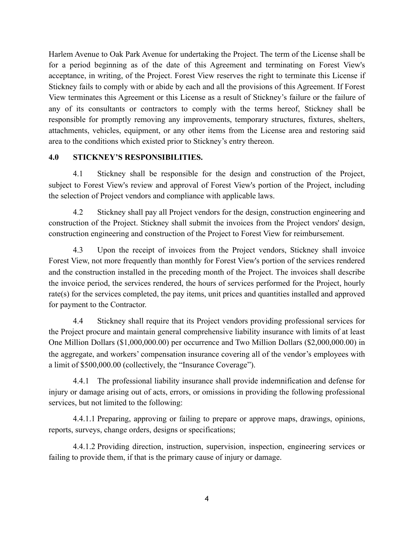Harlem Avenue to Oak Park Avenue for undertaking the Project. The term of the License shall be for a period beginning as of the date of this Agreement and terminating on Forest View's acceptance, in writing, of the Project. Forest View reserves the right to terminate this License if Stickney fails to comply with or abide by each and all the provisions of this Agreement. If Forest View terminates this Agreement or this License as a result of Stickney's failure or the failure of any of its consultants or contractors to comply with the terms hereof, Stickney shall be responsible for promptly removing any improvements, temporary structures, fixtures, shelters, attachments, vehicles, equipment, or any other items from the License area and restoring said area to the conditions which existed prior to Stickney's entry thereon.

#### **4.0 STICKNEY'S RESPONSIBILITIES.**

4.1 Stickney shall be responsible for the design and construction of the Project, subject to Forest View's review and approval of Forest View's portion of the Project, including the selection of Project vendors and compliance with applicable laws.

4.2 Stickney shall pay all Project vendors for the design, construction engineering and construction of the Project. Stickney shall submit the invoices from the Project vendors' design, construction engineering and construction of the Project to Forest View for reimbursement.

4.3 Upon the receipt of invoices from the Project vendors, Stickney shall invoice Forest View, not more frequently than monthly for Forest View's portion of the services rendered and the construction installed in the preceding month of the Project. The invoices shall describe the invoice period, the services rendered, the hours of services performed for the Project, hourly rate(s) for the services completed, the pay items, unit prices and quantities installed and approved for payment to the Contractor.

4.4 Stickney shall require that its Project vendors providing professional services for the Project procure and maintain general comprehensive liability insurance with limits of at least One Million Dollars (\$1,000,000.00) per occurrence and Two Million Dollars (\$2,000,000.00) in the aggregate, and workers' compensation insurance covering all of the vendor's employees with a limit of \$500,000.00 (collectively, the "Insurance Coverage").

4.4.1 The professional liability insurance shall provide indemnification and defense for injury or damage arising out of acts, errors, or omissions in providing the following professional services, but not limited to the following:

4.4.1.1 Preparing, approving or failing to prepare or approve maps, drawings, opinions, reports, surveys, change orders, designs or specifications;

4.4.1.2 Providing direction, instruction, supervision, inspection, engineering services or failing to provide them, if that is the primary cause of injury or damage.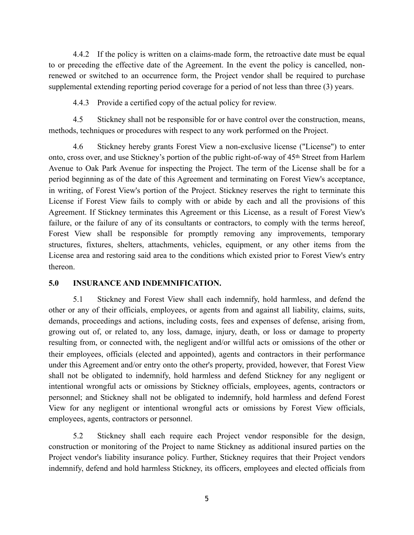4.4.2 If the policy is written on a claims-made form, the retroactive date must be equal to or preceding the effective date of the Agreement. In the event the policy is cancelled, nonrenewed or switched to an occurrence form, the Project vendor shall be required to purchase supplemental extending reporting period coverage for a period of not less than three (3) years.

4.4.3 Provide a certified copy of the actual policy for review.

4.5 Stickney shall not be responsible for or have control over the construction, means, methods, techniques or procedures with respect to any work performed on the Project.

4.6 Stickney hereby grants Forest View a non-exclusive license ("License") to enter onto, cross over, and use Stickney's portion of the public right-of-way of 45th Street from Harlem Avenue to Oak Park Avenue for inspecting the Project. The term of the License shall be for a period beginning as of the date of this Agreement and terminating on Forest View's acceptance, in writing, of Forest View's portion of the Project. Stickney reserves the right to terminate this License if Forest View fails to comply with or abide by each and all the provisions of this Agreement. If Stickney terminates this Agreement or this License, as a result of Forest View's failure, or the failure of any of its consultants or contractors, to comply with the terms hereof, Forest View shall be responsible for promptly removing any improvements, temporary structures, fixtures, shelters, attachments, vehicles, equipment, or any other items from the License area and restoring said area to the conditions which existed prior to Forest View's entry thereon.

#### **5.0 INSURANCE AND INDEMNIFICATION.**

5.1 Stickney and Forest View shall each indemnify, hold harmless, and defend the other or any of their officials, employees, or agents from and against all liability, claims, suits, demands, proceedings and actions, including costs, fees and expenses of defense, arising from, growing out of, or related to, any loss, damage, injury, death, or loss or damage to property resulting from, or connected with, the negligent and/or willful acts or omissions of the other or their employees, officials (elected and appointed), agents and contractors in their performance under this Agreement and/or entry onto the other's property, provided, however, that Forest View shall not be obligated to indemnify, hold harmless and defend Stickney for any negligent or intentional wrongful acts or omissions by Stickney officials, employees, agents, contractors or personnel; and Stickney shall not be obligated to indemnify, hold harmless and defend Forest View for any negligent or intentional wrongful acts or omissions by Forest View officials, employees, agents, contractors or personnel.

5.2 Stickney shall each require each Project vendor responsible for the design, construction or monitoring of the Project to name Stickney as additional insured parties on the Project vendor's liability insurance policy. Further, Stickney requires that their Project vendors indemnify, defend and hold harmless Stickney, its officers, employees and elected officials from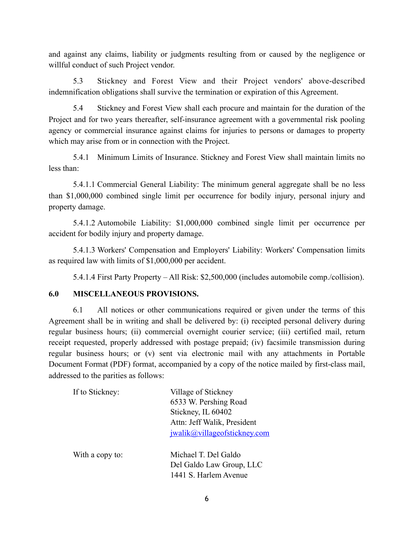and against any claims, liability or judgments resulting from or caused by the negligence or willful conduct of such Project vendor.

5.3 Stickney and Forest View and their Project vendors' above-described indemnification obligations shall survive the termination or expiration of this Agreement.

5.4 Stickney and Forest View shall each procure and maintain for the duration of the Project and for two years thereafter, self-insurance agreement with a governmental risk pooling agency or commercial insurance against claims for injuries to persons or damages to property which may arise from or in connection with the Project.

5.4.1 Minimum Limits of Insurance. Stickney and Forest View shall maintain limits no less than:

5.4.1.1 Commercial General Liability: The minimum general aggregate shall be no less than \$1,000,000 combined single limit per occurrence for bodily injury, personal injury and property damage.

5.4.1.2 Automobile Liability: \$1,000,000 combined single limit per occurrence per accident for bodily injury and property damage.

5.4.1.3 Workers' Compensation and Employers' Liability: Workers' Compensation limits as required law with limits of \$1,000,000 per accident.

5.4.1.4 First Party Property – All Risk: \$2,500,000 (includes automobile comp./collision).

#### **6.0 MISCELLANEOUS PROVISIONS.**

6.1 All notices or other communications required or given under the terms of this Agreement shall be in writing and shall be delivered by: (i) receipted personal delivery during regular business hours; (ii) commercial overnight courier service; (iii) certified mail, return receipt requested, properly addressed with postage prepaid; (iv) facsimile transmission during regular business hours; or (v) sent via electronic mail with any attachments in Portable Document Format (PDF) format, accompanied by a copy of the notice mailed by first-class mail, addressed to the parities as follows:

| If to Stickney: | Village of Stickney          |
|-----------------|------------------------------|
|                 | 6533 W. Pershing Road        |
|                 | Stickney, IL 60402           |
|                 | Attn: Jeff Walik, President  |
|                 | jwalik@villageofstickney.com |
| With a copy to: | Michael T. Del Galdo         |
|                 | Del Galdo Law Group, LLC     |
|                 | 1441 S. Harlem Avenue        |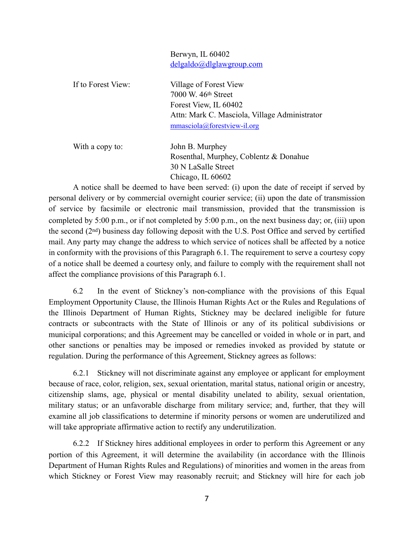Berwyn, IL 60402 [delgaldo@dlglawgroup.com](mailto:delgaldo@dlglawgroup.com) 

| If to Forest View: | Village of Forest View<br>7000 W. 46th Street<br>Forest View, IL 60402<br>Attn: Mark C. Masciola, Village Administrator<br>mmasciola@forestview-il.org |
|--------------------|--------------------------------------------------------------------------------------------------------------------------------------------------------|
| With a conv to:    | John B. Murnhey                                                                                                                                        |

With a copy to: John B. Murphey Rosenthal, Murphey, Coblentz & Donahue 30 N LaSalle Street Chicago, IL 60602

A notice shall be deemed to have been served: (i) upon the date of receipt if served by personal delivery or by commercial overnight courier service; (ii) upon the date of transmission of service by facsimile or electronic mail transmission, provided that the transmission is completed by 5:00 p.m., or if not completed by 5:00 p.m., on the next business day; or, (iii) upon the second (2nd) business day following deposit with the U.S. Post Office and served by certified mail. Any party may change the address to which service of notices shall be affected by a notice in conformity with the provisions of this Paragraph 6.1. The requirement to serve a courtesy copy of a notice shall be deemed a courtesy only, and failure to comply with the requirement shall not affect the compliance provisions of this Paragraph 6.1.

6.2 In the event of Stickney's non-compliance with the provisions of this Equal Employment Opportunity Clause, the Illinois Human Rights Act or the Rules and Regulations of the Illinois Department of Human Rights, Stickney may be declared ineligible for future contracts or subcontracts with the State of Illinois or any of its political subdivisions or municipal corporations; and this Agreement may be cancelled or voided in whole or in part, and other sanctions or penalties may be imposed or remedies invoked as provided by statute or regulation. During the performance of this Agreement, Stickney agrees as follows:

6.2.1 Stickney will not discriminate against any employee or applicant for employment because of race, color, religion, sex, sexual orientation, marital status, national origin or ancestry, citizenship slams, age, physical or mental disability unelated to ability, sexual orientation, military status; or an unfavorable discharge from military service; and, further, that they will examine all job classifications to determine if minority persons or women are underutilized and will take appropriate affirmative action to rectify any underutilization.

6.2.2 If Stickney hires additional employees in order to perform this Agreement or any portion of this Agreement, it will determine the availability (in accordance with the Illinois Department of Human Rights Rules and Regulations) of minorities and women in the areas from which Stickney or Forest View may reasonably recruit; and Stickney will hire for each job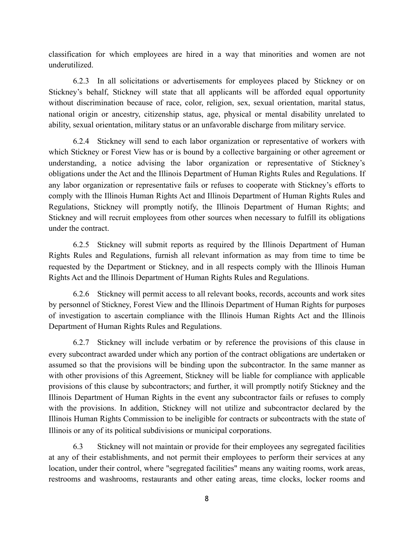classification for which employees are hired in a way that minorities and women are not underutilized.

6.2.3 In all solicitations or advertisements for employees placed by Stickney or on Stickney's behalf, Stickney will state that all applicants will be afforded equal opportunity without discrimination because of race, color, religion, sex, sexual orientation, marital status, national origin or ancestry, citizenship status, age, physical or mental disability unrelated to ability, sexual orientation, military status or an unfavorable discharge from military service.

6.2.4 Stickney will send to each labor organization or representative of workers with which Stickney or Forest View has or is bound by a collective bargaining or other agreement or understanding, a notice advising the labor organization or representative of Stickney's obligations under the Act and the Illinois Department of Human Rights Rules and Regulations. If any labor organization or representative fails or refuses to cooperate with Stickney's efforts to comply with the Illinois Human Rights Act and Illinois Department of Human Rights Rules and Regulations, Stickney will promptly notify, the Illinois Department of Human Rights; and Stickney and will recruit employees from other sources when necessary to fulfill its obligations under the contract.

6.2.5 Stickney will submit reports as required by the Illinois Department of Human Rights Rules and Regulations, furnish all relevant information as may from time to time be requested by the Department or Stickney, and in all respects comply with the Illinois Human Rights Act and the Illinois Department of Human Rights Rules and Regulations.

6.2.6 Stickney will permit access to all relevant books, records, accounts and work sites by personnel of Stickney, Forest View and the Illinois Department of Human Rights for purposes of investigation to ascertain compliance with the Illinois Human Rights Act and the Illinois Department of Human Rights Rules and Regulations.

6.2.7 Stickney will include verbatim or by reference the provisions of this clause in every subcontract awarded under which any portion of the contract obligations are undertaken or assumed so that the provisions will be binding upon the subcontractor. In the same manner as with other provisions of this Agreement, Stickney will be liable for compliance with applicable provisions of this clause by subcontractors; and further, it will promptly notify Stickney and the Illinois Department of Human Rights in the event any subcontractor fails or refuses to comply with the provisions. In addition, Stickney will not utilize and subcontractor declared by the Illinois Human Rights Commission to be ineligible for contracts or subcontracts with the state of Illinois or any of its political subdivisions or municipal corporations.

6.3 Stickney will not maintain or provide for their employees any segregated facilities at any of their establishments, and not permit their employees to perform their services at any location, under their control, where "segregated facilities" means any waiting rooms, work areas, restrooms and washrooms, restaurants and other eating areas, time clocks, locker rooms and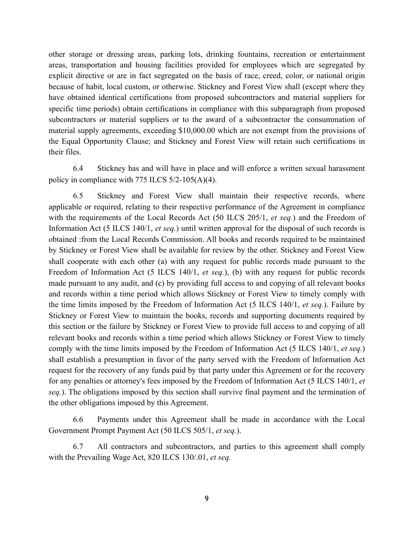other storage or dressing areas, parking lots, drinking fountains, recreation or entertainment areas, transportation and housing facilities provided for employees which are segregated by explicit directive or are in fact segregated on the basis of race, creed, color, or national origin because of habit, local custom, or otherwise. Stickney and Forest View shall (except where they have obtained identical certifications from proposed subcontractors and material suppliers for specific time periods) obtain certifications in compliance with this subparagraph from proposed subcontractors or material suppliers or to the award of a subcontractor the consummation of material supply agreements, exceeding \$10,000.00 which are not exempt from the provisions of the Equal Opportunity Clause; and Stickney and Forest View will retain such certifications in their files.

6.4 Stickney has and will have in place and will enforce a written sexual harassment policy in compliance with 775 ILCS 5/2-105(A)(4).

6.5 Stickney and Forest View shall maintain their respective records, where applicable or required, relating to their respective performance of the Agreement in compliance with the requirements of the Local Records Act (50 ILCS 205/1, *et seq.*) and the Freedom of Information Act (5 ILCS 140/1, *et seq.*) until written approval for the disposal of such records is obtained :from the Local Records Commission. All books and records required to be maintained by Stickney or Forest View shall be available for review by the other. Stickney and Forest View shall cooperate with each other (a) with any request for public records made pursuant to the Freedom of Information Act (5 ILCS 140/1, *et seq.*), (b) with any request for public records made pursuant to any audit, and (c) by providing full access to and copying of all relevant books and records within a time period which allows Stickney or Forest View to timely comply with the time limits imposed by the Freedom of Information Act (5 ILCS 140/1, *et seq.*). Failure by Stickney or Forest View to maintain the books, records and supporting documents required by this section or the failure by Stickney or Forest View to provide full access to and copying of all relevant books and records within a time period which allows Stickney or Forest View to timely comply with the time limits imposed by the Freedom of Information Act (5 ILCS 140/1, *et seq.*) shall establish a presumption in favor of the party served with the Freedom of Information Act request for the recovery of any funds paid by that party under this Agreement or for the recovery for any penalties or attorney's fees imposed by the Freedom of Information Act (5 ILCS 140/1, *et seq.*). The obligations imposed by this section shall survive final payment and the termination of the other obligations imposed by this Agreement.

6.6 Payments under this Agreement shall be made in accordance with the Local Government Prompt Payment Act (50 ILCS 505/1, *et seq.*).

6.7 All contractors and subcontractors, and parties to this agreement shall comply with the Prevailing Wage Act, 820 ILCS 130/.01, *et seq.*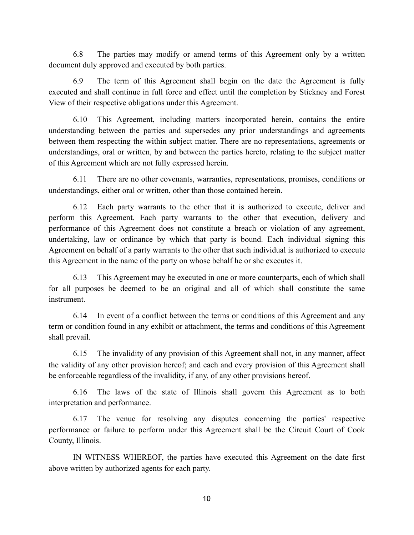6.8 The parties may modify or amend terms of this Agreement only by a written document duly approved and executed by both parties.

6.9 The term of this Agreement shall begin on the date the Agreement is fully executed and shall continue in full force and effect until the completion by Stickney and Forest View of their respective obligations under this Agreement.

6.10 This Agreement, including matters incorporated herein, contains the entire understanding between the parties and supersedes any prior understandings and agreements between them respecting the within subject matter. There are no representations, agreements or understandings, oral or written, by and between the parties hereto, relating to the subject matter of this Agreement which are not fully expressed herein.

6.11 There are no other covenants, warranties, representations, promises, conditions or understandings, either oral or written, other than those contained herein.

6.12 Each party warrants to the other that it is authorized to execute, deliver and perform this Agreement. Each party warrants to the other that execution, delivery and performance of this Agreement does not constitute a breach or violation of any agreement, undertaking, law or ordinance by which that party is bound. Each individual signing this Agreement on behalf of a party warrants to the other that such individual is authorized to execute this Agreement in the name of the party on whose behalf he or she executes it.

6.13 This Agreement may be executed in one or more counterparts, each of which shall for all purposes be deemed to be an original and all of which shall constitute the same instrument.

6.14 In event of a conflict between the terms or conditions of this Agreement and any term or condition found in any exhibit or attachment, the terms and conditions of this Agreement shall prevail.

6.15 The invalidity of any provision of this Agreement shall not, in any manner, affect the validity of any other provision hereof; and each and every provision of this Agreement shall be enforceable regardless of the invalidity, if any, of any other provisions hereof.

6.16 The laws of the state of Illinois shall govern this Agreement as to both interpretation and performance.

6.17 The venue for resolving any disputes concerning the parties' respective performance or failure to perform under this Agreement shall be the Circuit Court of Cook County, Illinois.

IN WITNESS WHEREOF, the parties have executed this Agreement on the date first above written by authorized agents for each party.